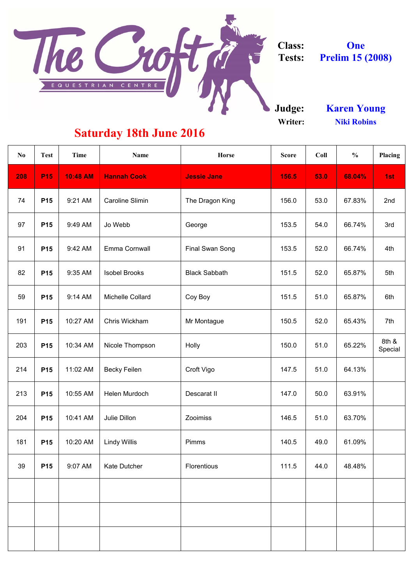

**Writer:**

| N <sub>0</sub> | <b>Test</b>     | Time            | <b>Name</b>            | Horse                  | <b>Score</b> | Coll | $\frac{0}{0}$ | Placing          |
|----------------|-----------------|-----------------|------------------------|------------------------|--------------|------|---------------|------------------|
| 208            | <b>P15</b>      | <b>10:48 AM</b> | <b>Hannah Cook</b>     | <b>Jessie Jane</b>     | 156.5        | 53.0 | 68.04%        | 1st              |
| 74             | P <sub>15</sub> | 9:21 AM         | <b>Caroline Slimin</b> | The Dragon King        | 156.0        | 53.0 | 67.83%        | 2nd              |
| 97             | <b>P15</b>      | 9:49 AM         | Jo Webb                | George                 | 153.5        | 54.0 | 66.74%        | 3rd              |
| 91             | P <sub>15</sub> | 9:42 AM         | Emma Cornwall          | <b>Final Swan Song</b> | 153.5        | 52.0 | 66.74%        | 4th              |
| 82             | <b>P15</b>      | 9:35 AM         | <b>Isobel Brooks</b>   | <b>Black Sabbath</b>   | 151.5        | 52.0 | 65.87%        | 5th              |
| 59             | P <sub>15</sub> | 9:14 AM         | Michelle Collard       | Coy Boy                | 151.5        | 51.0 | 65.87%        | 6th              |
| 191            | <b>P15</b>      | 10:27 AM        | Chris Wickham          | Mr Montague            | 150.5        | 52.0 | 65.43%        | 7th              |
| 203            | <b>P15</b>      | 10:34 AM        | Nicole Thompson        | <b>Holly</b>           | 150.0        | 51.0 | 65.22%        | 8th &<br>Special |
| 214            | P15             | 11:02 AM        | <b>Becky Feilen</b>    | Croft Vigo             | 147.5        | 51.0 | 64.13%        |                  |
| 213            | P15             | 10:55 AM        | Helen Murdoch          | Descarat II            | 147.0        | 50.0 | 63.91%        |                  |
| 204            | P <sub>15</sub> | 10:41 AM        | Julie Dillon           | Zooimiss               | 146.5        | 51.0 | 63.70%        |                  |
| 181            | P <sub>15</sub> | 10:20 AM        | <b>Lindy Willis</b>    | Pimms                  | 140.5        | 49.0 | 61.09%        |                  |
| 39             | <b>P15</b>      | 9:07 AM         | <b>Kate Dutcher</b>    | Florentious            | 111.5        | 44.0 | 48.48%        |                  |
|                |                 |                 |                        |                        |              |      |               |                  |
|                |                 |                 |                        |                        |              |      |               |                  |
|                |                 |                 |                        |                        |              |      |               |                  |

## **Saturday 18th June 2016**

**Prelim 15 (2008) One**

> **Niki Robins Karen Young**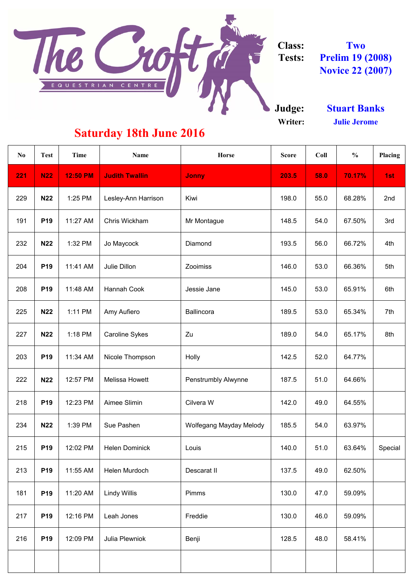

**Class: Tests:**



| N <sub>0</sub> | <b>Test</b>     | <b>Time</b>     | <b>Name</b>           | <b>Horse</b>               | <b>Score</b> | Coll | $\frac{0}{0}$ | Placing |
|----------------|-----------------|-----------------|-----------------------|----------------------------|--------------|------|---------------|---------|
| 221            | <b>N22</b>      | <b>12:50 PM</b> | <b>Judith Twallin</b> | <b>Jonny</b>               | 203.5        | 58.0 | 70.17%        | 1st     |
| 229            | <b>N22</b>      | 1:25 PM         | Lesley-Ann Harrison   | Kiwi                       | 198.0        | 55.0 | 68.28%        | 2nd     |
| 191            | P <sub>19</sub> | 11:27 AM        | Chris Wickham         | Mr Montague                | 148.5        | 54.0 | 67.50%        | 3rd     |
| 232            | <b>N22</b>      | 1:32 PM         | Jo Maycock            | Diamond                    | 193.5        | 56.0 | 66.72%        | 4th     |
| 204            | P <sub>19</sub> | 11:41 AM        | Julie Dillon          | Zooimiss                   | 146.0        | 53.0 | 66.36%        | 5th     |
| 208            | P <sub>19</sub> | 11:48 AM        | Hannah Cook           | Jessie Jane                | 145.0        | 53.0 | 65.91%        | 6th     |
| 225            | <b>N22</b>      | 1:11 PM         | Amy Aufiero           | <b>Ballincora</b>          | 189.5        | 53.0 | 65.34%        | 7th     |
| 227            | <b>N22</b>      | 1:18 PM         | <b>Caroline Sykes</b> | Zu                         | 189.0        | 54.0 | 65.17%        | 8th     |
| 203            | <b>P19</b>      | 11:34 AM        | Nicole Thompson       | <b>Holly</b>               | 142.5        | 52.0 | 64.77%        |         |
| 222            | <b>N22</b>      | 12:57 PM        | <b>Melissa Howett</b> | <b>Penstrumbly Alwynne</b> | 187.5        | 51.0 | 64.66%        |         |
| 218            | <b>P19</b>      | 12:23 PM        | Aimee Slimin          | Cilvera W                  | 142.0        | 49.0 | 64.55%        |         |
| 234            | <b>N22</b>      | 1:39 PM         | Sue Pashen            | Wolfegang Mayday Melody    | 185.5        | 54.0 | 63.97%        |         |
| 215            | P <sub>19</sub> | 12:02 PM        | <b>Helen Dominick</b> | Louis                      | 140.0        | 51.0 | 63.64%        | Special |
| 213            | <b>P19</b>      | 11:55 AM        | <b>Helen Murdoch</b>  | Descarat II                | 137.5        | 49.0 | 62.50%        |         |
| 181            | <b>P19</b>      | 11:20 AM        | <b>Lindy Willis</b>   | <b>Pimms</b>               | 130.0        | 47.0 | 59.09%        |         |
| 217            | <b>P19</b>      | 12:16 PM        | Leah Jones            | Freddie                    | 130.0        | 46.0 | 59.09%        |         |
| 216            | <b>P19</b>      | 12:09 PM        | Julia Plewniok        | Benji                      | 128.5        | 48.0 | 58.41%        |         |
|                |                 |                 |                       |                            |              |      |               |         |

**Two Prelim 19 (2008) Novice 22 (2007)**

> **Stuart Banks Julie Jerome**

## **Saturday 18th June 2016**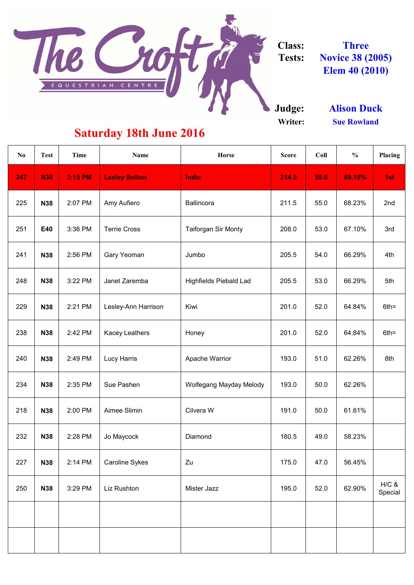

**Class: Tests:**



| N <sub>0</sub> | <b>Test</b> | Time           | <b>Name</b>           | <b>Horse</b>                   | <b>Score</b> | Coll | $\frac{6}{6}$ | <b>Placing</b>     |
|----------------|-------------|----------------|-----------------------|--------------------------------|--------------|------|---------------|--------------------|
| 247            | <b>N38</b>  | <b>3:15 PM</b> | <b>Lesley Bolton</b>  | Indie                          | 214.5        | 55.0 | 69.19%        | 1st                |
| 225            | <b>N38</b>  | 2:07 PM        | Amy Aufiero           | <b>Ballincora</b>              | 211.5        | 55.0 | 68.23%        | 2nd                |
| 251            | <b>E40</b>  | 3:36 PM        | <b>Terrie Cross</b>   | <b>Taiforgan Sir Monty</b>     | 208.0        | 53.0 | 67.10%        | 3rd                |
| 241            | <b>N38</b>  | 2:56 PM        | <b>Gary Yeoman</b>    | Jumbo                          | 205.5        | 54.0 | 66.29%        | 4th                |
| 248            | <b>N38</b>  | 3:22 PM        | Janet Zaremba         | <b>Highfields Piebald Lad</b>  | 205.5        | 53.0 | 66.29%        | 5th                |
| 229            | <b>N38</b>  | 2:21 PM        | Lesley-Ann Harrison   | Kiwi                           | 201.0        | 52.0 | 64.84%        | $6th =$            |
| 238            | <b>N38</b>  | 2:42 PM        | <b>Kacey Leathers</b> | Honey                          | 201.0        | 52.0 | 64.84%        | $6th =$            |
| 240            | <b>N38</b>  | 2:49 PM        | <b>Lucy Harris</b>    | <b>Apache Warrior</b>          | 193.0        | 51.0 | 62.26%        | 8th                |
| 234            | <b>N38</b>  | 2:35 PM        | Sue Pashen            | <b>Wolfegang Mayday Melody</b> | 193.0        | 50.0 | 62.26%        |                    |
| 218            | <b>N38</b>  | 2:00 PM        | Aimee Slimin          | Cilvera W                      | 191.0        | 50.0 | 61.61%        |                    |
| 232            | <b>N38</b>  | 2:28 PM        | Jo Maycock            | Diamond                        | 180.5        | 49.0 | 58.23%        |                    |
| 227            | <b>N38</b>  | 2:14 PM        | <b>Caroline Sykes</b> | Zu                             | 175.0        | 47.0 | 56.45%        |                    |
| 250            | <b>N38</b>  | 3:29 PM        | Liz Rushton           | Mister Jazz                    | 195.0        | 52.0 | 62.90%        | $H/C$ &<br>Special |
|                |             |                |                       |                                |              |      |               |                    |
|                |             |                |                       |                                |              |      |               |                    |

**Alison Duck Sue Rowland**

## **Saturday 18th June 2016**

**Three Novice 38 (2005) Elem 40 (2010)**